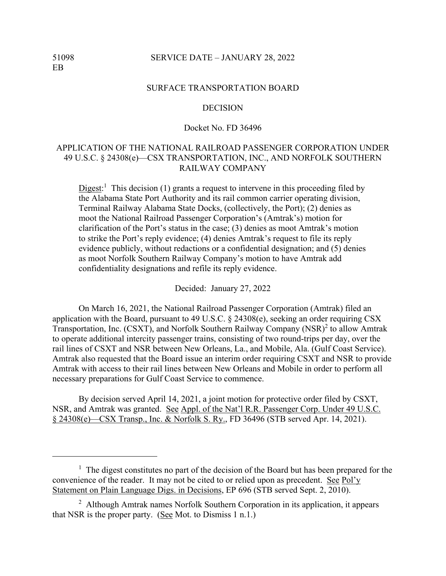### 51098 SERVICE DATE – JANUARY 28, 2022

#### SURFACE TRANSPORTATION BOARD

#### **DECISION**

### Docket No. FD 36496

# APPLICATION OF THE NATIONAL RAILROAD PASSENGER CORPORATION UNDER 49 U.S.C. § 24308(e)—CSX TRANSPORTATION, INC., AND NORFOLK SOUTHERN RAILWAY COMPANY

 $Digest:$ <sup>1</sup> This decision (1) grants a request to intervene in this proceeding filed by the Alabama State Port Authority and its rail common carrier operating division, Terminal Railway Alabama State Docks, (collectively, the Port); (2) denies as moot the National Railroad Passenger Corporation's (Amtrak's) motion for clarification of the Port's status in the case; (3) denies as moot Amtrak's motion to strike the Port's reply evidence; (4) denies Amtrak's request to file its reply evidence publicly, without redactions or a confidential designation; and (5) denies as moot Norfolk Southern Railway Company's motion to have Amtrak add confidentiality designations and refile its reply evidence.

Decided: January 27, 2022

On March 16, 2021, the National Railroad Passenger Corporation (Amtrak) filed an application with the Board, pursuant to 49 U.S.C. § 24308(e), seeking an order requiring CSX Transportation, Inc. (CSXT), and Norfolk Southern Railway Company (NSR) $^2$  to allow Amtrak to operate additional intercity passenger trains, consisting of two round-trips per day, over the rail lines of CSXT and NSR between New Orleans, La., and Mobile, Ala. (Gulf Coast Service). Amtrak also requested that the Board issue an interim order requiring CSXT and NSR to provide Amtrak with access to their rail lines between New Orleans and Mobile in order to perform all necessary preparations for Gulf Coast Service to commence.

By decision served April 14, 2021, a joint motion for protective order filed by CSXT, NSR, and Amtrak was granted. See Appl. of the Nat'l R.R. Passenger Corp. Under 49 U.S.C. § 24308(e)––CSX Transp., Inc. & Norfolk S. Ry., FD 36496 (STB served Apr. 14, 2021).

<sup>&</sup>lt;sup>1</sup> The digest constitutes no part of the decision of the Board but has been prepared for the convenience of the reader. It may not be cited to or relied upon as precedent. See Pol'y Statement on Plain Language Digs. in Decisions, EP 696 (STB served Sept. 2, 2010).

<sup>&</sup>lt;sup>2</sup> Although Amtrak names Norfolk Southern Corporation in its application, it appears that NSR is the proper party. (See Mot. to Dismiss 1 n.1.)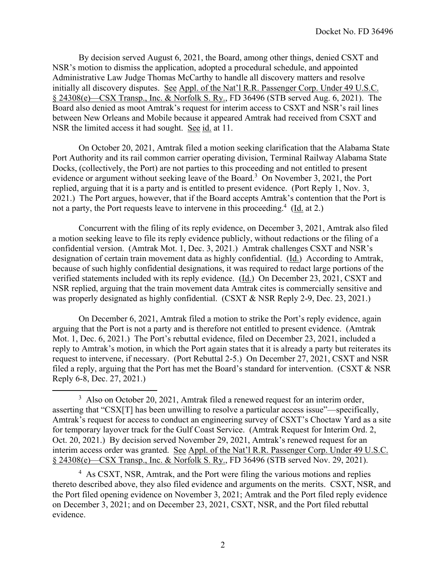By decision served August 6, 2021, the Board, among other things, denied CSXT and NSR's motion to dismiss the application, adopted a procedural schedule, and appointed Administrative Law Judge Thomas McCarthy to handle all discovery matters and resolve initially all discovery disputes. See Appl. of the Nat'l R.R. Passenger Corp. Under 49 U.S.C. § 24308(e)––CSX Transp., Inc. & Norfolk S. Ry., FD 36496 (STB served Aug. 6, 2021). The Board also denied as moot Amtrak's request for interim access to CSXT and NSR's rail lines between New Orleans and Mobile because it appeared Amtrak had received from CSXT and NSR the limited access it had sought. See id. at 11.

On October 20, 2021, Amtrak filed a motion seeking clarification that the Alabama State Port Authority and its rail common carrier operating division, Terminal Railway Alabama State Docks, (collectively, the Port) are not parties to this proceeding and not entitled to present evidence or argument without seeking leave of the Board.<sup>3</sup> On November 3, 2021, the Port replied, arguing that it is a party and is entitled to present evidence. (Port Reply 1, Nov. 3, 2021.) The Port argues, however, that if the Board accepts Amtrak's contention that the Port is not a party, the Port requests leave to intervene in this proceeding.<sup>4</sup> (Id. at 2.)

Concurrent with the filing of its reply evidence, on December 3, 2021, Amtrak also filed a motion seeking leave to file its reply evidence publicly, without redactions or the filing of a confidential version. (Amtrak Mot. 1, Dec. 3, 2021.) Amtrak challenges CSXT and NSR's designation of certain train movement data as highly confidential. (Id.) According to Amtrak, because of such highly confidential designations, it was required to redact large portions of the verified statements included with its reply evidence. (Id.) On December 23, 2021, CSXT and NSR replied, arguing that the train movement data Amtrak cites is commercially sensitive and was properly designated as highly confidential. (CSXT & NSR Reply 2-9, Dec. 23, 2021.)

On December 6, 2021, Amtrak filed a motion to strike the Port's reply evidence, again arguing that the Port is not a party and is therefore not entitled to present evidence. (Amtrak Mot. 1, Dec. 6, 2021.) The Port's rebuttal evidence, filed on December 23, 2021, included a reply to Amtrak's motion, in which the Port again states that it is already a party but reiterates its request to intervene, if necessary. (Port Rebuttal 2-5.) On December 27, 2021, CSXT and NSR filed a reply, arguing that the Port has met the Board's standard for intervention. (CSXT & NSR Reply 6-8, Dec. 27, 2021.)

 $3$  Also on October 20, 2021, Amtrak filed a renewed request for an interim order, asserting that "CSX[T] has been unwilling to resolve a particular access issue"—specifically, Amtrak's request for access to conduct an engineering survey of CSXT's Choctaw Yard as a site for temporary layover track for the Gulf Coast Service. (Amtrak Request for Interim Ord. 2, Oct. 20, 2021.) By decision served November 29, 2021, Amtrak's renewed request for an interim access order was granted. See Appl. of the Nat'l R.R. Passenger Corp. Under 49 U.S.C. § 24308(e)––CSX Transp., Inc. & Norfolk S. Ry., FD 36496 (STB served Nov. 29, 2021).

<sup>4</sup> As CSXT, NSR, Amtrak, and the Port were filing the various motions and replies thereto described above, they also filed evidence and arguments on the merits. CSXT, NSR, and the Port filed opening evidence on November 3, 2021; Amtrak and the Port filed reply evidence on December 3, 2021; and on December 23, 2021, CSXT, NSR, and the Port filed rebuttal evidence.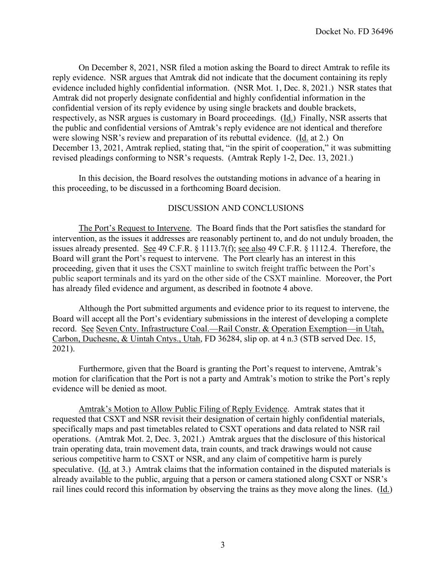On December 8, 2021, NSR filed a motion asking the Board to direct Amtrak to refile its reply evidence. NSR argues that Amtrak did not indicate that the document containing its reply evidence included highly confidential information. (NSR Mot. 1, Dec. 8, 2021.) NSR states that Amtrak did not properly designate confidential and highly confidential information in the confidential version of its reply evidence by using single brackets and double brackets, respectively, as NSR argues is customary in Board proceedings. (Id.) Finally, NSR asserts that the public and confidential versions of Amtrak's reply evidence are not identical and therefore were slowing NSR's review and preparation of its rebuttal evidence. (Id. at 2.) On December 13, 2021, Amtrak replied, stating that, "in the spirit of cooperation," it was submitting revised pleadings conforming to NSR's requests. (Amtrak Reply 1-2, Dec. 13, 2021.)

In this decision, the Board resolves the outstanding motions in advance of a hearing in this proceeding, to be discussed in a forthcoming Board decision.

# DISCUSSION AND CONCLUSIONS

 The Port's Request to Intervene. The Board finds that the Port satisfies the standard for intervention, as the issues it addresses are reasonably pertinent to, and do not unduly broaden, the issues already presented. See 49 C.F.R. § 1113.7(f); see also 49 C.F.R. § 1112.4. Therefore, the Board will grant the Port's request to intervene. The Port clearly has an interest in this proceeding, given that it uses the CSXT mainline to switch freight traffic between the Port's public seaport terminals and its yard on the other side of the CSXT mainline. Moreover, the Port has already filed evidence and argument, as described in footnote 4 above.

Although the Port submitted arguments and evidence prior to its request to intervene, the Board will accept all the Port's evidentiary submissions in the interest of developing a complete record. See Seven Cnty. Infrastructure Coal.––Rail Constr. & Operation Exemption––in Utah, Carbon, Duchesne, & Uintah Cntys., Utah, FD 36284, slip op. at 4 n.3 (STB served Dec. 15, 2021).

Furthermore, given that the Board is granting the Port's request to intervene, Amtrak's motion for clarification that the Port is not a party and Amtrak's motion to strike the Port's reply evidence will be denied as moot.

Amtrak's Motion to Allow Public Filing of Reply Evidence. Amtrak states that it requested that CSXT and NSR revisit their designation of certain highly confidential materials, specifically maps and past timetables related to CSXT operations and data related to NSR rail operations. (Amtrak Mot. 2, Dec. 3, 2021.) Amtrak argues that the disclosure of this historical train operating data, train movement data, train counts, and track drawings would not cause serious competitive harm to CSXT or NSR, and any claim of competitive harm is purely speculative. (Id. at 3.) Amtrak claims that the information contained in the disputed materials is already available to the public, arguing that a person or camera stationed along CSXT or NSR's rail lines could record this information by observing the trains as they move along the lines. (Id.)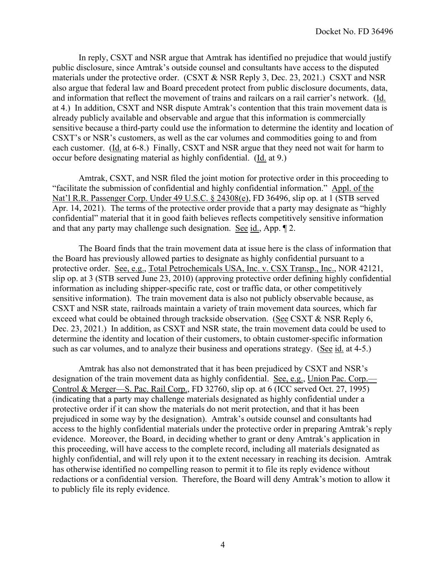In reply, CSXT and NSR argue that Amtrak has identified no prejudice that would justify public disclosure, since Amtrak's outside counsel and consultants have access to the disputed materials under the protective order. (CSXT & NSR Reply 3, Dec. 23, 2021.) CSXT and NSR also argue that federal law and Board precedent protect from public disclosure documents, data, and information that reflect the movement of trains and railcars on a rail carrier's network. (Id. at 4.) In addition, CSXT and NSR dispute Amtrak's contention that this train movement data is already publicly available and observable and argue that this information is commercially sensitive because a third-party could use the information to determine the identity and location of CSXT's or NSR's customers, as well as the car volumes and commodities going to and from each customer. (Id. at 6-8.) Finally, CSXT and NSR argue that they need not wait for harm to occur before designating material as highly confidential. (Id. at 9.)

Amtrak, CSXT, and NSR filed the joint motion for protective order in this proceeding to "facilitate the submission of confidential and highly confidential information." Appl. of the Nat'l R.R. Passenger Corp. Under 49 U.S.C. § 24308(e), FD 36496, slip op. at 1 (STB served Apr. 14, 2021). The terms of the protective order provide that a party may designate as "highly confidential" material that it in good faith believes reflects competitively sensitive information and that any party may challenge such designation. See id., App. ¶ 2.

The Board finds that the train movement data at issue here is the class of information that the Board has previously allowed parties to designate as highly confidential pursuant to a protective order. See, e.g., Total Petrochemicals USA, Inc. v. CSX Transp., Inc., NOR 42121, slip op. at 3 (STB served June 23, 2010) (approving protective order defining highly confidential information as including shipper-specific rate, cost or traffic data, or other competitively sensitive information). The train movement data is also not publicly observable because, as CSXT and NSR state, railroads maintain a variety of train movement data sources, which far exceed what could be obtained through trackside observation. (See CSXT & NSR Reply 6, Dec. 23, 2021.) In addition, as CSXT and NSR state, the train movement data could be used to determine the identity and location of their customers, to obtain customer-specific information such as car volumes, and to analyze their business and operations strategy. (See id. at 4-5.)

Amtrak has also not demonstrated that it has been prejudiced by CSXT and NSR's designation of the train movement data as highly confidential. See, e.g., Union Pac. Corp.— Control & Merger––S. Pac. Rail Corp., FD 32760, slip op. at 6 (ICC served Oct. 27, 1995) (indicating that a party may challenge materials designated as highly confidential under a protective order if it can show the materials do not merit protection, and that it has been prejudiced in some way by the designation). Amtrak's outside counsel and consultants had access to the highly confidential materials under the protective order in preparing Amtrak's reply evidence. Moreover, the Board, in deciding whether to grant or deny Amtrak's application in this proceeding, will have access to the complete record, including all materials designated as highly confidential, and will rely upon it to the extent necessary in reaching its decision. Amtrak has otherwise identified no compelling reason to permit it to file its reply evidence without redactions or a confidential version. Therefore, the Board will deny Amtrak's motion to allow it to publicly file its reply evidence.